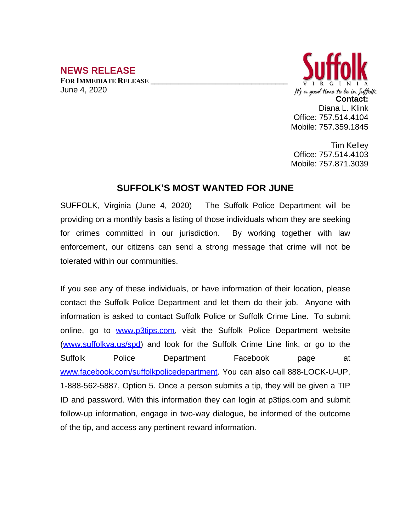## **NEWS RELEASE**

**FOR IMMEDIATE RELEASE \_\_\_\_\_\_\_\_\_\_\_\_\_\_\_\_\_\_\_\_\_\_\_\_\_\_\_\_\_\_\_\_\_\_** June 4, 2020



Tim Kelley Office: 757.514.4103 Mobile: 757.871.3039

## **SUFFOLK'S MOST WANTED FOR JUNE**

SUFFOLK, Virginia (June 4, 2020) The Suffolk Police Department will be providing on a monthly basis a listing of those individuals whom they are seeking for crimes committed in our jurisdiction. By working together with law enforcement, our citizens can send a strong message that crime will not be tolerated within our communities.

If you see any of these individuals, or have information of their location, please contact the Suffolk Police Department and let them do their job. Anyone with information is asked to contact Suffolk Police or Suffolk Crime Line. To submit online, go to [www.p3tips.com](http://www.p3tips.com), visit the Suffolk Police Department website ([www.suffolkva.us/spd](http://www.suffolkva.us/spd)) and look for the Suffolk Crime Line link, or go to the Suffolk Police Department Facebook page at [www.facebook.com/suffolkpolicedepartment](http://www.facebook.com/suffolkpolicedepartment). You can also call 888-LOCK-U-UP, 1-888-562-5887, Option 5. Once a person submits a tip, they will be given a TIP ID and password. With this information they can login at p3tips.com and submit follow-up information, engage in two-way dialogue, be informed of the outcome of the tip, and access any pertinent reward information.